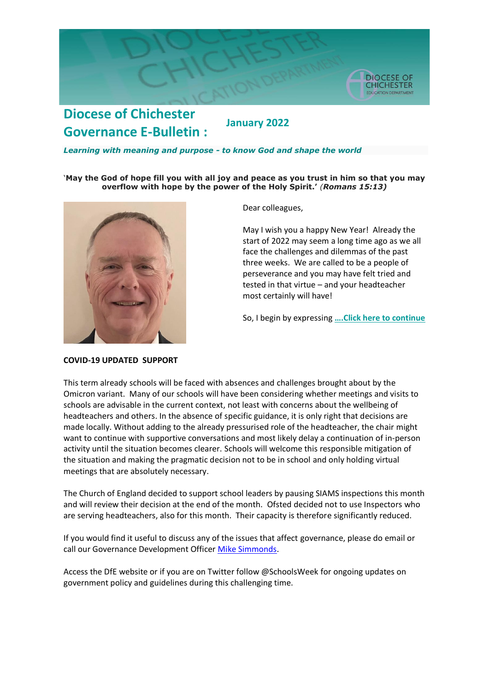

## **Diocese of Chichester January 2022 Governance E-Bulletin :**

#### *Learning with meaning and purpose - to know God and shape the world*

#### '**May the God of hope fill you with all joy and peace as you trust in him so that you may overflow with hope by the power of the Holy Spirit.'** *(Romans 15:13)*



Dear colleagues,

May I wish you a happy New Year! Already the start of 2022 may seem a long time ago as we all face the challenges and dilemmas of the past three weeks. We are called to be a people of perseverance and you may have felt tried and tested in that virtue – and your headteacher most certainly will have!

So, I begin by expressing **….[Click here to continue](https://cofechichestereducation.contentfiles.net/media/documents/document/2022/01/Governance_letter_January_2022.pdf)**

### **COVID-19 UPDATED SUPPORT**

This term already schools will be faced with absences and challenges brought about by the Omicron variant. Many of our schools will have been considering whether meetings and visits to schools are advisable in the current context, not least with concerns about the wellbeing of headteachers and others. In the absence of specific guidance, it is only right that decisions are made locally. Without adding to the already pressurised role of the headteacher, the chair might want to continue with supportive conversations and most likely delay a continuation of in-person activity until the situation becomes clearer. Schools will welcome this responsible mitigation of the situation and making the pragmatic decision not to be in school and only holding virtual meetings that are absolutely necessary.

The Church of England decided to support school leaders by pausing SIAMS inspections this month and will review their decision at the end of the month. Ofsted decided not to use Inspectors who are serving headteachers, also for this month. Their capacity is therefore significantly reduced.

If you would find it useful to discuss any of the issues that affect governance, please do email or call our Governance Development Officer [Mike Simmonds.](mailto:mike.simmonds@chichester.anglican.org?subject=Greener%20Governance)

Access the DfE website or if you are on Twitter follow @SchoolsWeek for ongoing updates on government policy and guidelines during this challenging time.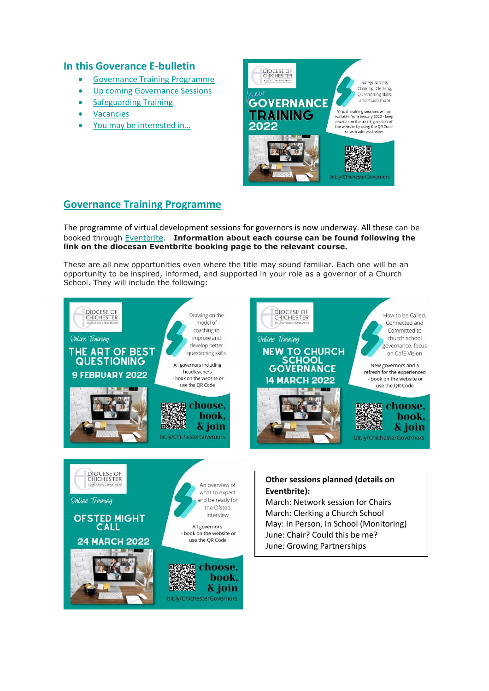# **In this Goverance E-bulletin**

- [Governance Training](#page-1-0) Programme
- **[Up coming Governance Sessions](#page-1-1)**
- [Safeguarding Training](#page-2-0)
- **[Vacancies](#page-2-1)**
- [You may be interested in…](#page-2-2)



# <span id="page-1-0"></span>**Governance Training Programme**

The programme of virtual development sessions for governors is now underway. All these can be booked through [Eventbrite.](https://www.eventbrite.co.uk/o/diocese-of-chichester-education-department-18307270070) **Information about each course can be found following the link on the diocesan Eventbrite booking page to the relevant course.**

These are all new opportunities even where the title may sound familiar. Each one will be an opportunity to be inspired, informed, and supported in your role as a governor of a Church School. They will include the following:

<span id="page-1-1"></span>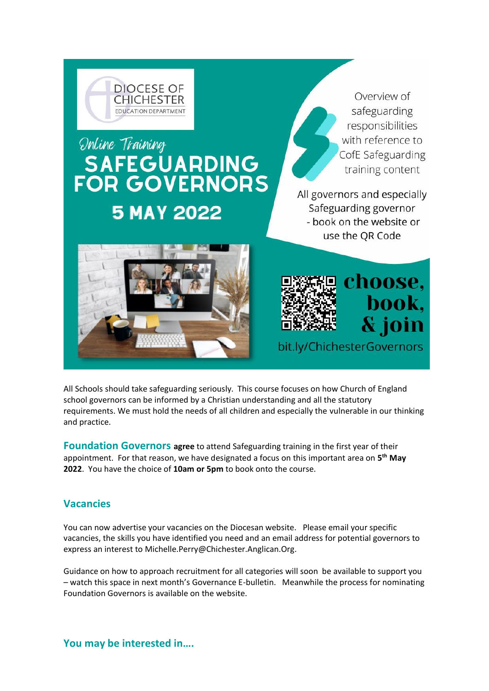<span id="page-2-0"></span>

All Schools should take safeguarding seriously. This course focuses on how Church of England school governors can be informed by a Christian understanding and all the statutory requirements. We must hold the needs of all children and especially the vulnerable in our thinking and practice.

**Foundation Governors agree** to attend Safeguarding training in the first year of their appointment. For that reason, we have designated a focus on this important area on **5 th May 2022**. You have the choice of **10am or 5pm** to book onto the course.

## <span id="page-2-1"></span>**Vacancies**

You can now advertise your vacancies on the Diocesan website. Please email your specific vacancies, the skills you have identified you need and an email address for potential governors to express an interest to Michelle.Perry@Chichester.Anglican.Org.

<span id="page-2-2"></span>Guidance on how to approach recruitment for all categories will soon be available to support you – watch this space in next month's Governance E-bulletin. Meanwhile the process for nominating Foundation Governors is available on the website.